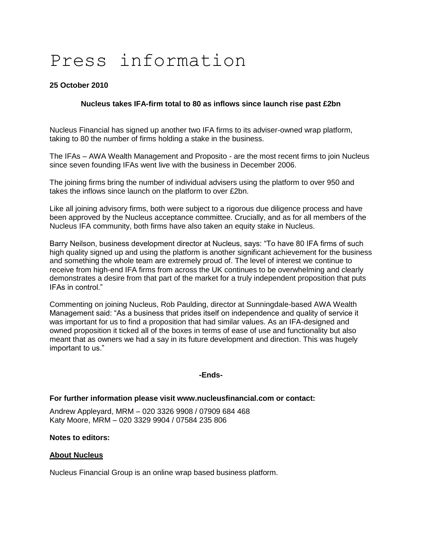# Press information

## **25 October 2010**

## **Nucleus takes IFA-firm total to 80 as inflows since launch rise past £2bn**

Nucleus Financial has signed up another two IFA firms to its adviser-owned wrap platform, taking to 80 the number of firms holding a stake in the business.

The IFAs – AWA Wealth Management and Proposito - are the most recent firms to join Nucleus since seven founding IFAs went live with the business in December 2006.

The joining firms bring the number of individual advisers using the platform to over 950 and takes the inflows since launch on the platform to over £2bn.

Like all joining advisory firms, both were subject to a rigorous due diligence process and have been approved by the Nucleus acceptance committee. Crucially, and as for all members of the Nucleus IFA community, both firms have also taken an equity stake in Nucleus.

Barry Neilson, business development director at Nucleus, says: "To have 80 IFA firms of such high quality signed up and using the platform is another significant achievement for the business and something the whole team are extremely proud of. The level of interest we continue to receive from high-end IFA firms from across the UK continues to be overwhelming and clearly demonstrates a desire from that part of the market for a truly independent proposition that puts IFAs in control."

Commenting on joining Nucleus, Rob Paulding, director at Sunningdale-based AWA Wealth Management said: "As a business that prides itself on independence and quality of service it was important for us to find a proposition that had similar values. As an IFA-designed and owned proposition it ticked all of the boxes in terms of ease of use and functionality but also meant that as owners we had a say in its future development and direction. This was hugely important to us."

#### **-Ends-**

#### **For further information please visit www.nucleusfinancial.com or contact:**

Andrew Appleyard, MRM – 020 3326 9908 / 07909 684 468 Katy Moore, MRM – 020 3329 9904 / 07584 235 806

#### **Notes to editors:**

### **About Nucleus**

Nucleus Financial Group is an online wrap based business platform.